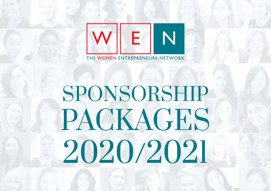

# SPONSORSHIP PACKAGES 2020/2021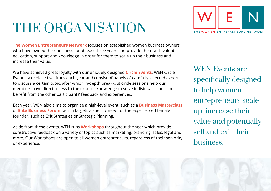### THE ORGANISATION



**The Women Entrepreneurs Network** focuses on established women business owners who have owned their business for at least three years and provide them with valuable education, support and knowledge in order for them to scale up their business and increase their value.

We have achieved great loyalty with our uniquely designed **Circle Events**. WEN Circle Events take place five times each year and consist of panels of carefully selected experts to discuss a certain topic, after which in-depth break-out circle sessions help our members have direct access to the experts' knowledge to solve individual issues and benefit from the other participants' feedback and experiences.

Each year, WEN also aims to organise a high-level event, such as a **Business Masterclass** or **Elite Business Forum**, which targets a specific need for the experienced female founder, such as Exit Strategies or Strategic Planning.

Aside from these events, WEN runs **Workshops** throughout the year which provide constructive feedback on a variety of topics such as marketing, branding, sales, legal and more. Our Workshops are open to all women entrepreneurs, regardless of their seniority or experience.

WEN Events are specifically designed to help women entrepreneurs scale up, increase their value and potentially sell and exit their business.

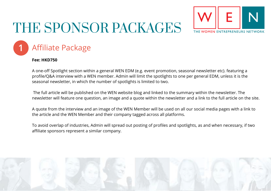



#### **Fee: HKD750**

A one-off Spotlight section within a general WEN EDM (e.g. event promotion, seasonal newsletter etc). featuring a profile/Q&A interview with a WEN member. Admin will limit the spotlights to one per general EDM, unless it is the seasonal newsletter, in which the number of spotlights is limited to two.

 The full article will be published on the WEN website blog and linked to the summary within the newsletter. The newsletter will feature one question, an image and a quote within the newsletter and a link to the full article on the site.

A quote from the interview and an image of the WEN Member will be used on all our social media pages with a link to the article and the WEN Member and their company tagged across all platforms.

To avoid overlap of industries, Admin will spread out posting of profiles and spotlights, as and when necessary, if two affiliate sponsors represent a similar company.

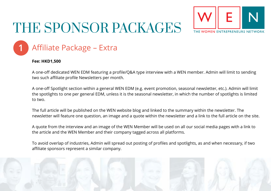



#### **Fee: HKD1,500**

A one-off dedicated WEN EDM featuring a profile/Q&A type interview with a WEN member. Admin will limit to sending two such affiliate profile Newsletters per month.

A one-off Spotlight section within a general WEN EDM (e.g. event promotion, seasonal newsletter, etc.). Admin will limit the spotlights to one per general EDM, unless it is the seasonal newsletter, in which the number of spotlights is limited to two.

The full article will be published on the WEN website blog and linked to the summary within the newsletter. The newsletter will feature one question, an image and a quote within the newsletter and a link to the full article on the site.

A quote from the interview and an image of the WEN Member will be used on all our social media pages with a link to the article and the WEN Member and their company tagged across all platforms.

To avoid overlap of industries, Admin will spread out posting of profiles and spotlights, as and when necessary, if two affiliate sponsors represent a similar company.

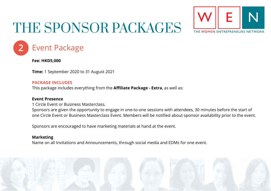



#### **Fee: HKD5,000**

**Time:** 1 September 2020 to 31 August 2021

#### **PACKAGE INCLUDES**

This package includes everything from the **Affiliate Package - Extra**, as well as:

#### **Event Presence**

1 Circle Event or Business Masterclass.

Sponsors are given the opportunity to engage in one-to-one sessions with attendees, 30 minutes before the start of one Circle Event or Business Masterclass Event. Members will be notified about sponsor availability prior to the event.

Sponsors are encouraged to have marketing materials at hand at the event.

#### **Marketing**

Name on all Invitations and Announcements, through social media and EDMs for one event.

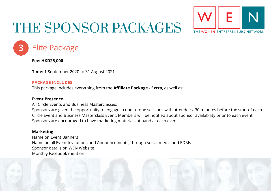



#### **Fee: HKD25,000**

**Time:** 1 September 2020 to 31 August 2021

#### **PACKAGE INCLUDES**

This package includes everything from the **Affiliate Package - Extra**, as well as:

#### **Event Presence**

All Circle Events and Business Masterclasses.

Sponsors are given the opportunity to engage in one-to-one sessions with attendees, 30 minutes before the start of each Circle Event and Business Masterclass Event. Members will be notified about sponsor availability prior to each event. Sponsors are encouraged to have marketing materials at hand at each event.

#### **Marketing**

Name on Event Banners Name on all Event Invitations and Announcements, through social media and EDMs Sponsor details on WEN Website Monthly Facebook mention

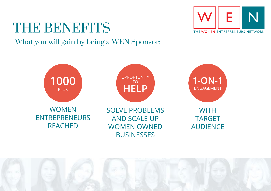### THE BENEFITS



### What you will gain by being a WEN Sponsor: